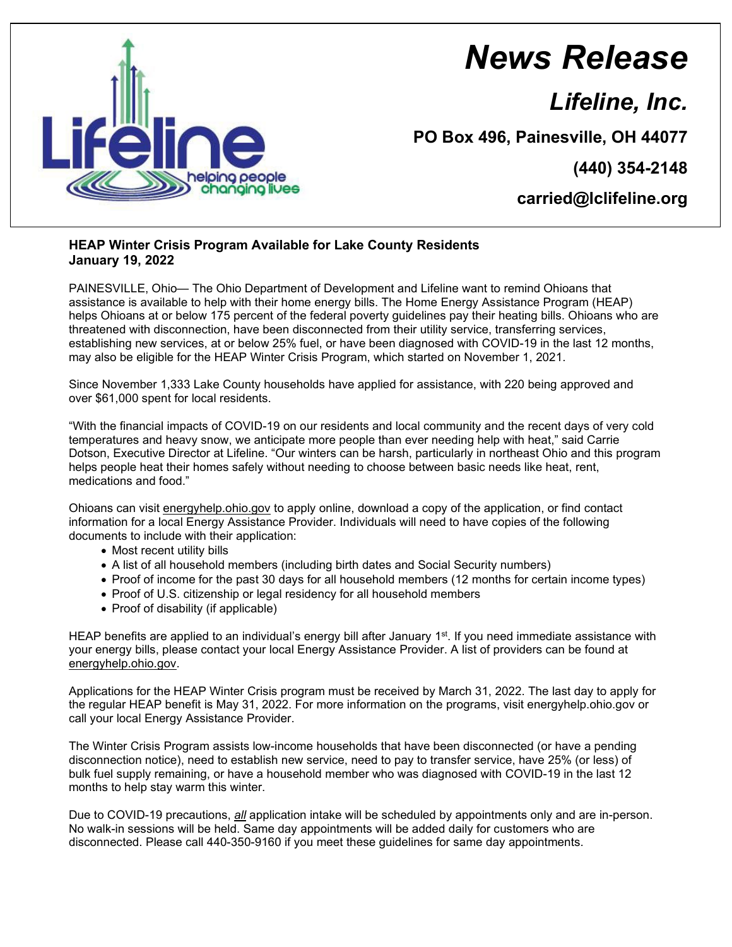

## *News Release*

*Lifeline, Inc.*

**PO Box 496, Painesville, OH 44077**

**(440) 354-2148**

**carried@lclifeline.org**

## **HEAP Winter Crisis Program Available for Lake County Residents January 19, 2022**

PAINESVILLE, Ohio— The Ohio Department of Development and Lifeline want to remind Ohioans that assistance is available to help with their home energy bills. The Home Energy Assistance Program (HEAP) helps Ohioans at or below 175 percent of the federal poverty guidelines pay their heating bills. Ohioans who are threatened with disconnection, have been disconnected from their utility service, transferring services, establishing new services, at or below 25% fuel, or have been diagnosed with COVID-19 in the last 12 months, may also be eligible for the HEAP Winter Crisis Program, which started on November 1, 2021.

Since November 1,333 Lake County households have applied for assistance, with 220 being approved and over \$61,000 spent for local residents.

"With the financial impacts of COVID-19 on our residents and local community and the recent days of very cold temperatures and heavy snow, we anticipate more people than ever needing help with heat," said Carrie Dotson, Executive Director at Lifeline. "Our winters can be harsh, particularly in northeast Ohio and this program helps people heat their homes safely without needing to choose between basic needs like heat, rent, medications and food."

Ohioans can visit energyhelp.ohio.gov to apply online, download a copy of the application, or find contact information for a local Energy Assistance Provider. Individuals will need to have copies of the following documents to include with their application:

- Most recent utility bills
- A list of all household members (including birth dates and Social Security numbers)
- Proof of income for the past 30 days for all household members (12 months for certain income types)
- Proof of U.S. citizenship or legal residency for all household members
- Proof of disability (if applicable)

HEAP benefits are applied to an individual's energy bill after January 1<sup>st</sup>. If you need immediate assistance with your energy bills, please contact your local Energy Assistance Provider. A list of providers can be found at energyhelp.ohio.gov.

Applications for the HEAP Winter Crisis program must be received by March 31, 2022. The last day to apply for the regular HEAP benefit is May 31, 2022. For more information on the programs, visit energyhelp.ohio.gov or call your local Energy Assistance Provider.

The Winter Crisis Program assists low-income households that have been disconnected (or have a pending disconnection notice), need to establish new service, need to pay to transfer service, have 25% (or less) of bulk fuel supply remaining, or have a household member who was diagnosed with COVID-19 in the last 12 months to help stay warm this winter.

Due to COVID-19 precautions, *all* application intake will be scheduled by appointments only and are in-person. No walk-in sessions will be held. Same day appointments will be added daily for customers who are disconnected. Please call 440-350-9160 if you meet these guidelines for same day appointments.